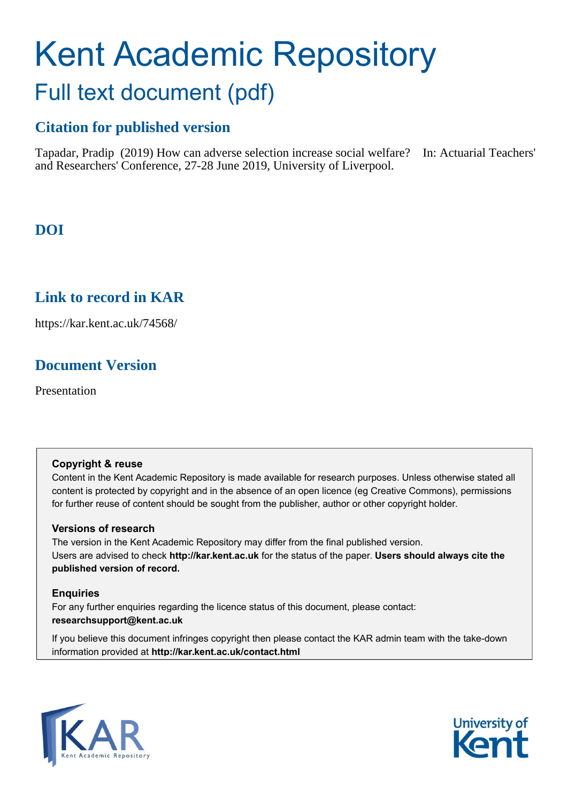# Kent Academic Repository Full text document (pdf)

# **Citation for published version**

Tapadar, Pradip (2019) How can adverse selection increase social welfare? In: Actuarial Teachers' and Researchers' Conference, 27-28 June 2019, University of Liverpool.

**DOI**

# **Link to record in KAR**

https://kar.kent.ac.uk/74568/

# **Document Version**

Presentation

#### **Copyright & reuse**

Content in the Kent Academic Repository is made available for research purposes. Unless otherwise stated all content is protected by copyright and in the absence of an open licence (eg Creative Commons), permissions for further reuse of content should be sought from the publisher, author or other copyright holder.

#### **Versions of research**

The version in the Kent Academic Repository may differ from the final published version. Users are advised to check **http://kar.kent.ac.uk** for the status of the paper. **Users should always cite the published version of record.**

#### **Enquiries**

For any further enquiries regarding the licence status of this document, please contact: **researchsupport@kent.ac.uk**

If you believe this document infringes copyright then please contact the KAR admin team with the take-down information provided at **http://kar.kent.ac.uk/contact.html**



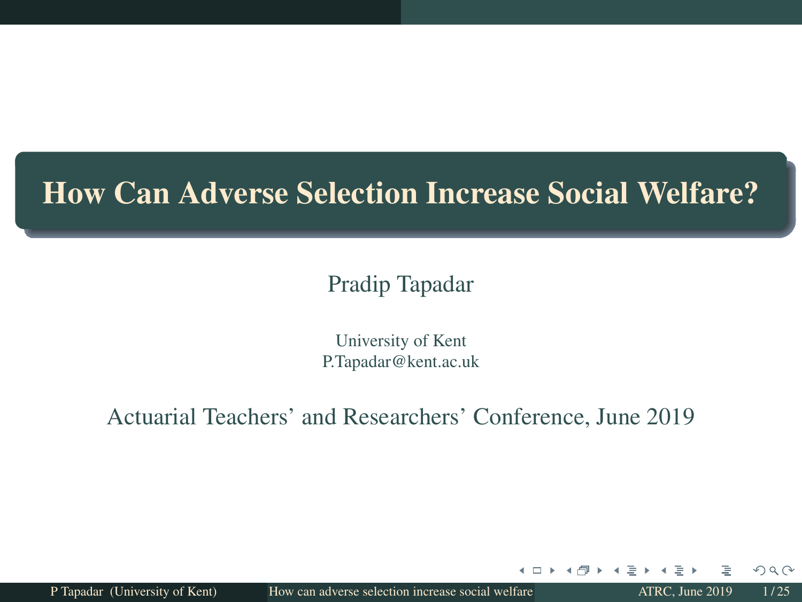## How Can Adverse Selection Increase Social Welfare?

#### Pradip Tapadar

University of Kent P.Tapadar@kent.ac.uk

Actuarial Teachers' and Researchers' Conference, June 2019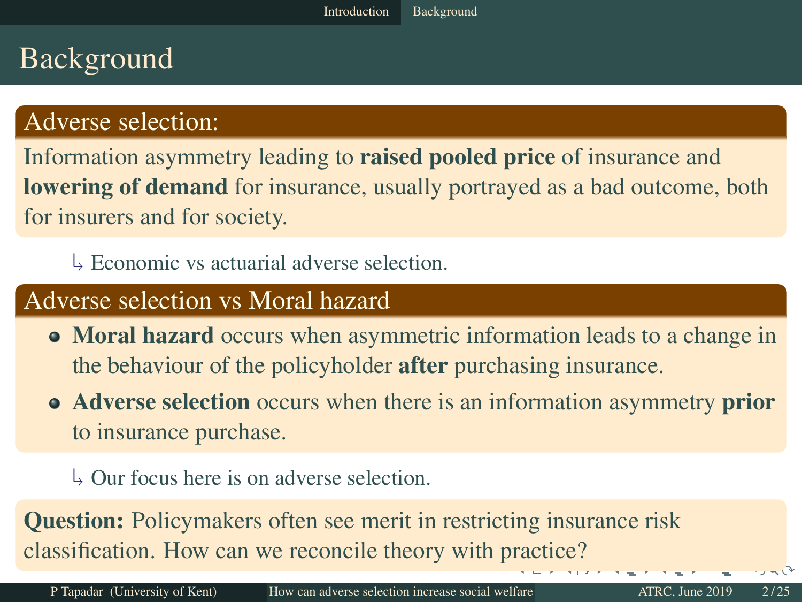# Background

#### Adverse selection:

Information asymmetry leading to raised pooled price of insurance and **lowering of demand** for insurance, usually portrayed as a bad outcome, both for insurers and for society.

 $\frac{1}{2}$  Economic vs actuarial adverse selection.

#### Adverse selection vs Moral hazard

- Moral hazard occurs when asymmetric information leads to a change in the behaviour of the policyholder after purchasing insurance.
- Adverse selection occurs when there is an information asymmetry prior to insurance purchase.

  $\downarrow$  Our focus here is on adverse selection.

Question: Policymakers often see merit in restricting insurance risk classification. How can we reconcile theory with practice?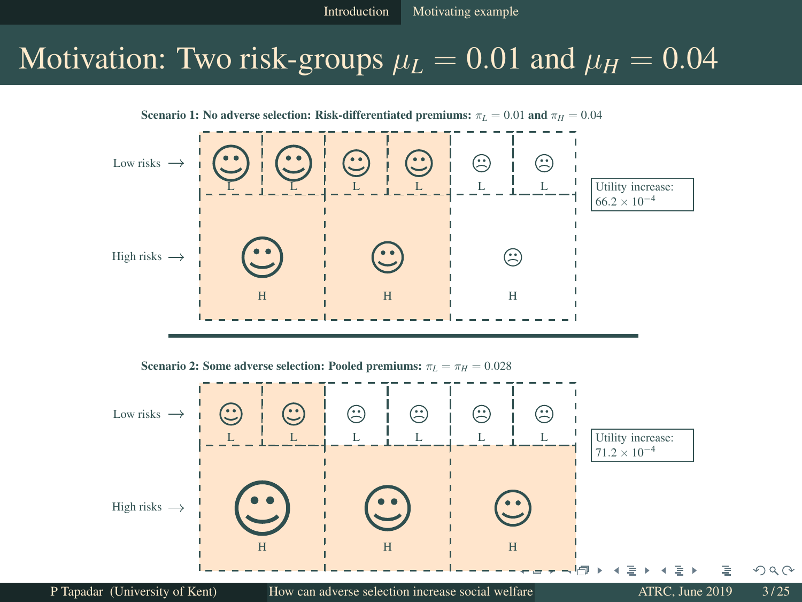## Motivation: Two risk-groups  $\mu_L = 0.01$  and  $\mu_H = 0.04$

Scenario 1: No adverse selection: Risk-differentiated premiums:  $\pi_L = 0.01$  and  $\pi_H = 0.04$ 



Scenario 2: Some adverse selection: Pooled premiums:  $\pi_L = \pi_H = 0.028$ 

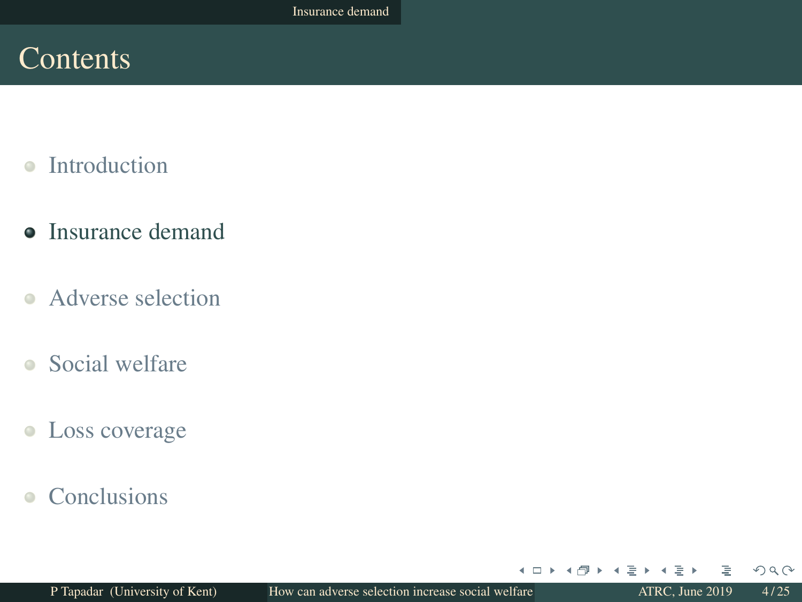## Contents

- Introduction  $\triangle$
- **•** Insurance demand
- Adverse selection
- Social welfare
- Loss coverage  $\bullet$
- **Conclusions**  $\bullet$

4 □ ▶

4. ∍  $QQ$ 

∍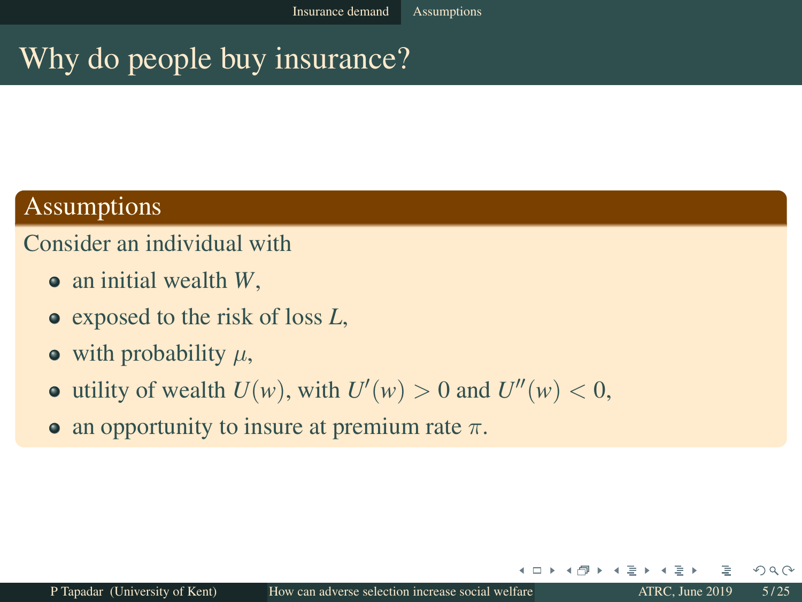## Why do people buy insurance?

#### Assumptions

#### Consider an individual with

- an initial wealth *W*,
- exposed to the risk of loss *L*,
- $\bullet$  with probability  $\mu$ ,
- utility of wealth  $U(w)$ , with  $U'(w) > 0$  and  $U''(w) < 0$ ,
- an opportunity to insure at premium rate  $\pi$ .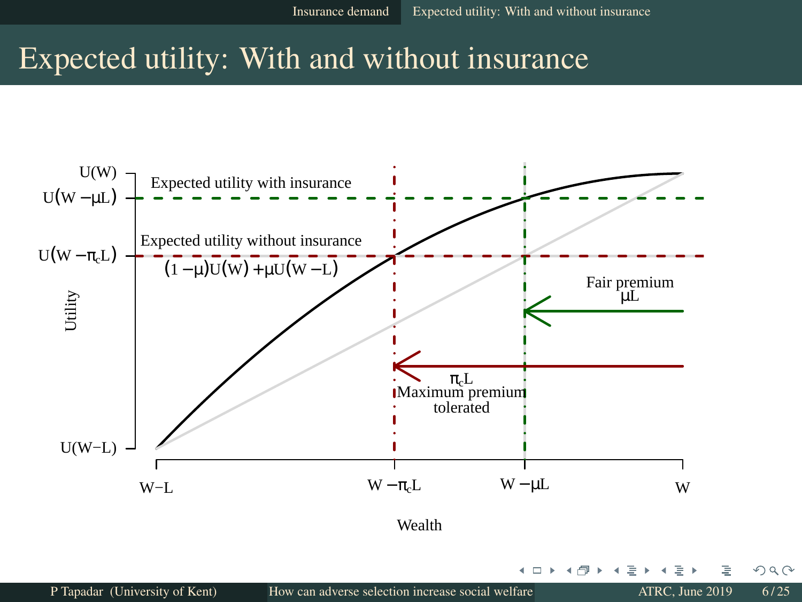∢ □

## Expected utility: With and without insurance



 $2Q$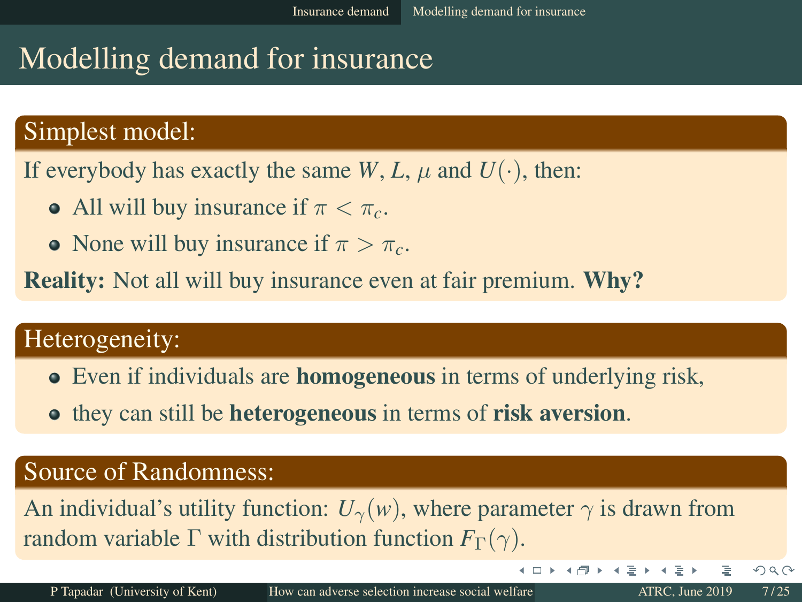# Modelling demand for insurance

#### Simplest model:

If everybody has exactly the same *W*, *L*,  $\mu$  and  $U(\cdot)$ , then:

- All will buy insurance if  $\pi < \pi_c$ .
- None will buy insurance if  $\pi > \pi_c$ .

**Reality:** Not all will buy insurance even at fair premium. **Why?** 

#### Heterogeneity:

- Even if individuals are **homogeneous** in terms of underlying risk,
- **•** they can still be **heterogeneous** in terms of **risk aversion**.

#### Source of Randomness:

An individual's utility function:  $U_{\gamma}(w)$ , where parameter  $\gamma$  is drawn from random variable  $\Gamma$  with distribution function  $F_{\Gamma}(\gamma)$ .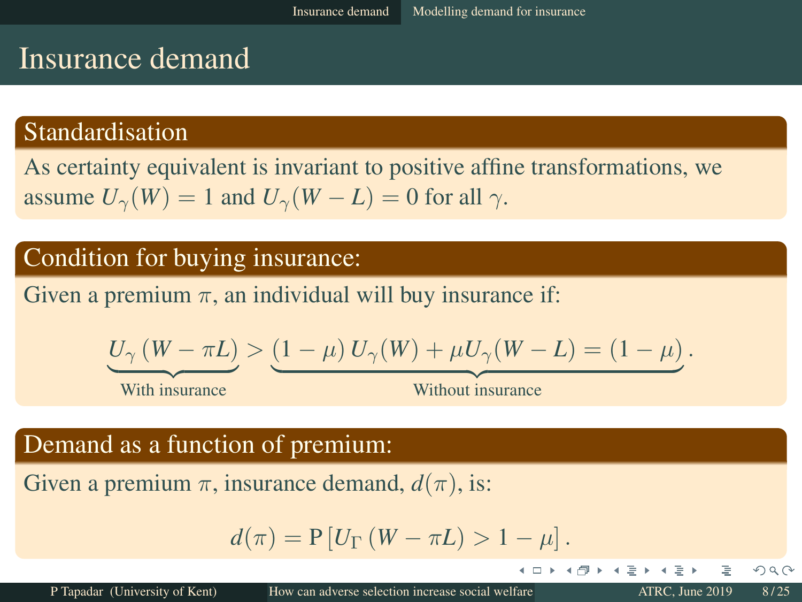## Insurance demand

#### Standardisation

As certainty equivalent is invariant to positive affine transformations, we assume  $U_{\gamma}(W) = 1$  and  $U_{\gamma}(W - L) = 0$  for all  $\gamma$ .

#### Condition for buying insurance:

Given a premium  $\pi$ , an individual will buy insurance if:

$$
\underline{U_{\gamma}(W-\pi L)} > (1-\mu) U_{\gamma}(W) + \mu U_{\gamma}(W-L) = (1-\mu).
$$

With insurance

**Example 2018** Without insurance

4 O F

#### Demand as a function of premium:

Given a premium  $\pi$ , insurance demand,  $d(\pi)$ , is:

$$
d(\pi) = P[U_{\Gamma}(W - \pi L) > 1 - \mu].
$$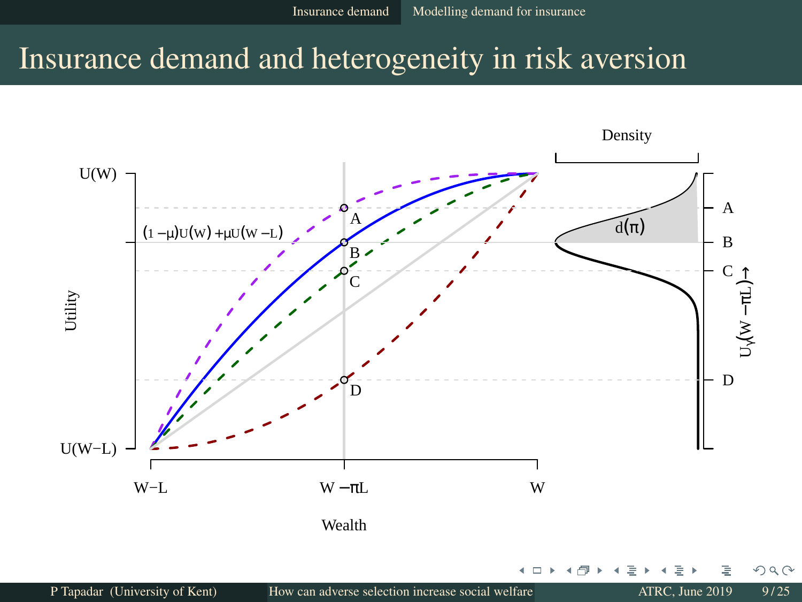## Insurance demand and heterogeneity in risk aversion

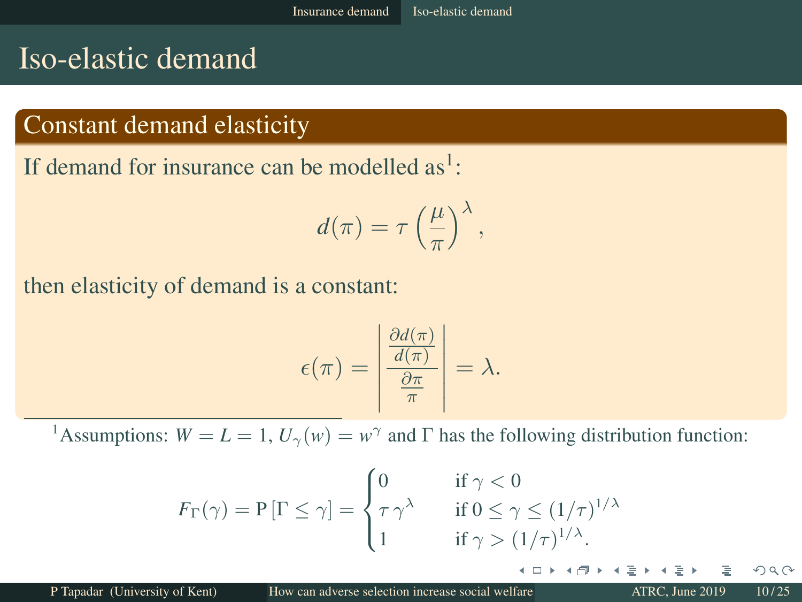## Iso-elastic demand

#### Constant demand elasticity

If demand for insurance can be modelled  $as<sup>1</sup>$ :

$$
d(\pi) = \tau \left(\frac{\mu}{\pi}\right)^{\lambda},
$$

then elasticity of demand is a constant:

$$
\epsilon(\pi) = \left| \frac{\frac{\partial d(\pi)}{d(\pi)}}{\frac{\partial \pi}{\pi}} \right| = \lambda.
$$

<sup>1</sup>Assumptions:  $W = L = 1$ ,  $U_{\gamma}(w) = w^{\gamma}$  and  $\Gamma$  has the following distribution function:

$$
F_{\Gamma}(\gamma) = P[\Gamma \le \gamma] = \begin{cases} 0 & \text{if } \gamma < 0 \\ \tau \gamma^{\lambda} & \text{if } 0 \le \gamma \le (1/\tau)^{1/\lambda} \\ 1 & \text{if } \gamma > (1/\tau)^{1/\lambda}. \end{cases}
$$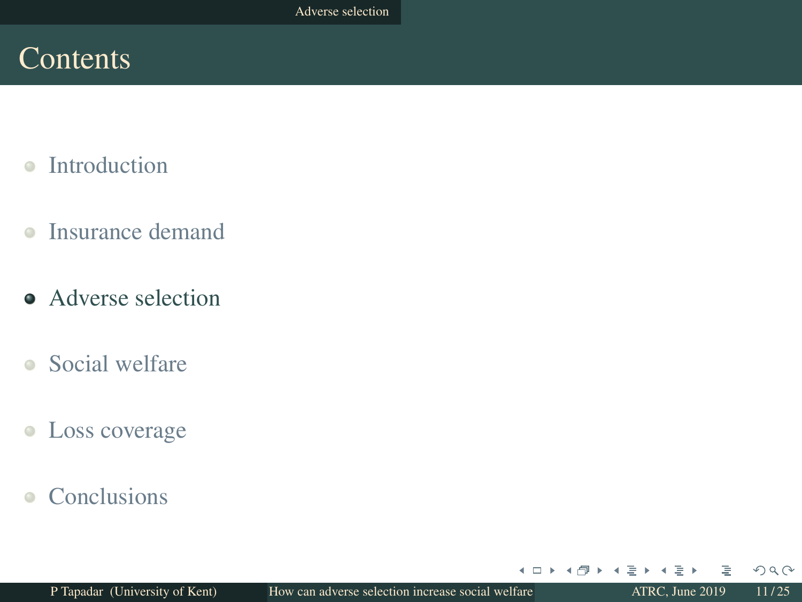## Contents

- Introduction  $\triangle$
- Insurance demand  $\bullet$
- Adverse selection
- Social welfare
- Loss coverage  $\bullet$
- **Conclusions**  $\bullet$

4 □ ▶

 $\blacktriangleleft$ ∍  $QQQ$ 

∍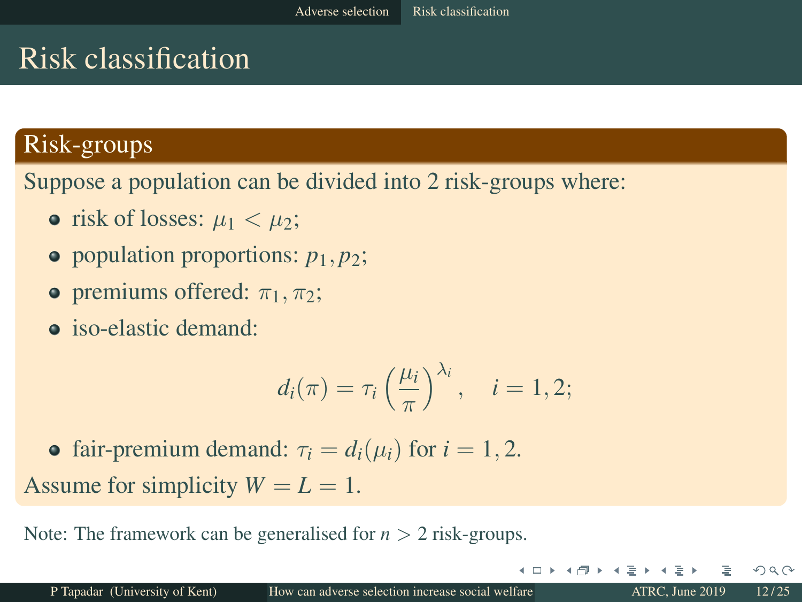# Risk classification

#### Risk-groups

Suppose a population can be divided into 2 risk-groups where:

- risk of losses:  $\mu_1 < \mu_2$ ;
- population proportions:  $p_1, p_2$ ;
- **•** premiums offered:  $\pi_1$ ,  $\pi_2$ ;
- **o** iso-elastic demand:

$$
d_i(\pi) = \tau_i \left(\frac{\mu_i}{\pi}\right)^{\lambda_i}, \quad i = 1, 2;
$$

• fair-premium demand:  $\tau_i = d_i(\mu_i)$  for  $i = 1, 2$ . Assume for simplicity  $W = L = 1$ .

Note: The framework can be generalised for *n* > 2 risk-groups.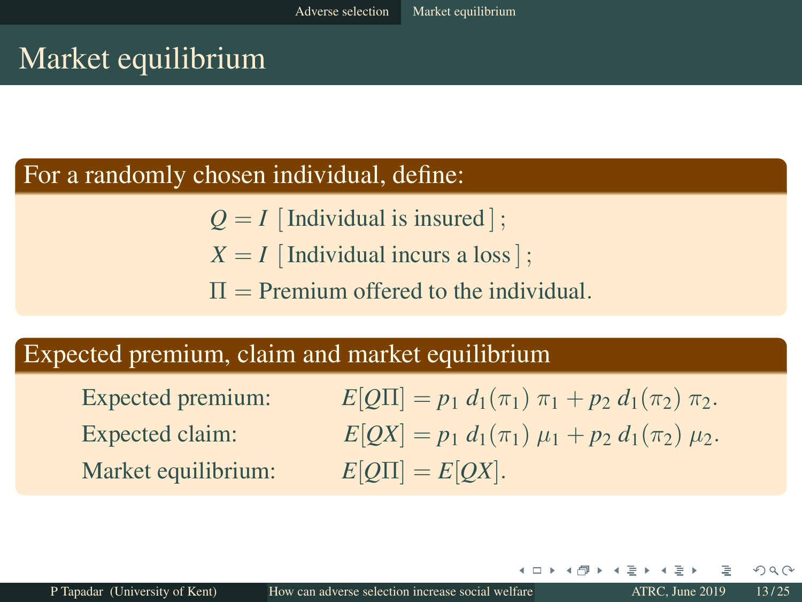## Market equilibrium

#### For a randomly chosen individual, define:

- $Q = I$  [Individual is insured];
- $X = I$  [Individual incurs a loss];
- $\Pi$  = Premium offered to the individual.

#### Expected premium, claim and market equilibrium

Market equilibrium:  $E[Q\Pi] = E[QX]$ .

Expected premium:  $E[O\Pi] = p_1 d_1(\pi_1) \pi_1 + p_2 d_1(\pi_2) \pi_2$ . Expected claim:  $E[OX] = p_1 d_1(\pi_1) \mu_1 + p_2 d_1(\pi_2) \mu_2.$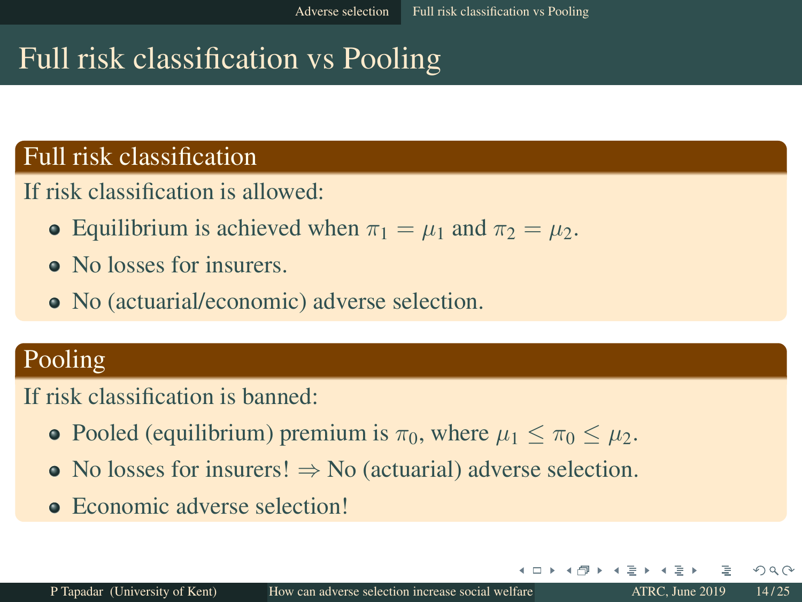# Full risk classification vs Pooling

#### Full risk classification

If risk classification is allowed:

- Equilibrium is achieved when  $\pi_1 = \mu_1$  and  $\pi_2 = \mu_2$ .
- No losses for insurers.
- No (actuarial/economic) adverse selection.

## Pooling

If risk classification is banned:

- Pooled (equilibrium) premium is  $\pi_0$ , where  $\mu_1 \leq \pi_0 \leq \mu_2$ .
- No losses for insurers!  $\Rightarrow$  No (actuarial) adverse selection.
- Economic adverse selection!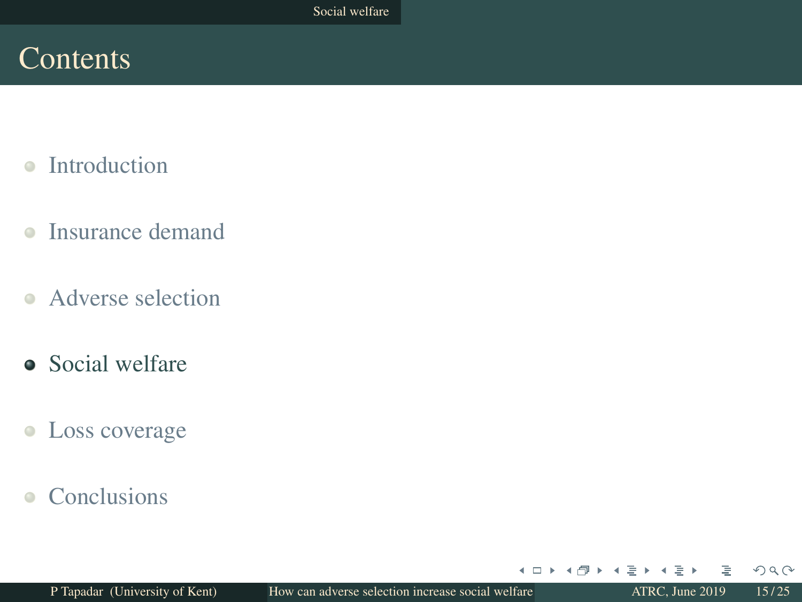## Contents

- Introduction  $\triangle$
- Insurance demand  $\bullet$
- Adverse selection
- Social welfare
- Loss coverage  $\bullet$
- **Conclusions**  $\bullet$

4 □ ▶

 $\blacktriangleleft$ ∍  $QQQ$ 

∍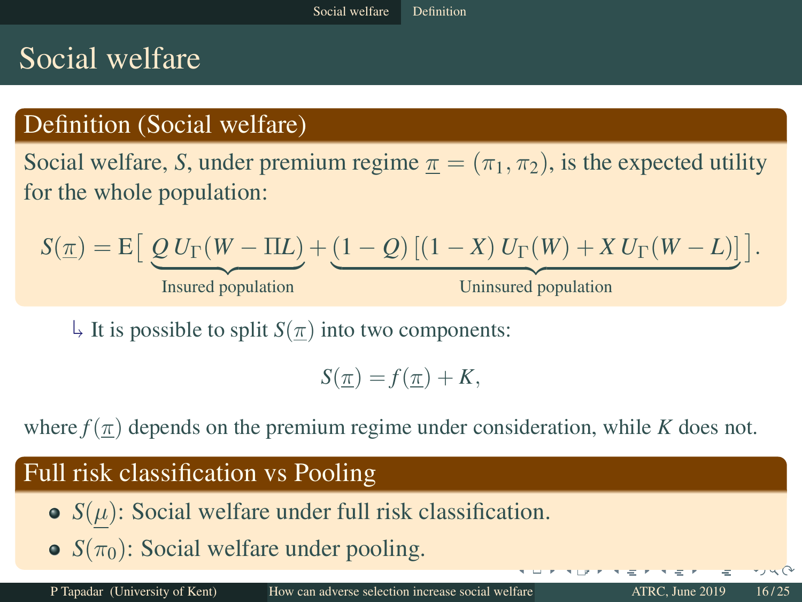## Social welfare

## Definition (Social welfare)

Social welfare, *S*, under premium regime  $\pi = (\pi_1, \pi_2)$ , is the expected utility for the whole population:

$$
S(\underline{\pi}) = \mathrm{E}\big[\underbrace{Q U_{\Gamma}(W - \Pi L)}_{\text{Insured population}} + \underbrace{(1 - Q) [(1 - X) U_{\Gamma}(W) + X U_{\Gamma}(W - L)]}_{\text{Uninsured population}}\big].
$$

J.  $\downarrow$  It is possible to split *S*( $\pi$ ) into two components:

 $S(\pi) = f(\pi) + K$ ,

where  $f(\pi)$  depends on the premium regime under consideration, while *K* does not.

#### Full risk classification vs Pooling

- $S(\mu)$ : Social welfare under full risk classification.
- $\bullet$  *S*( $\pi$ <sub>0</sub>): Social welfare under pooling.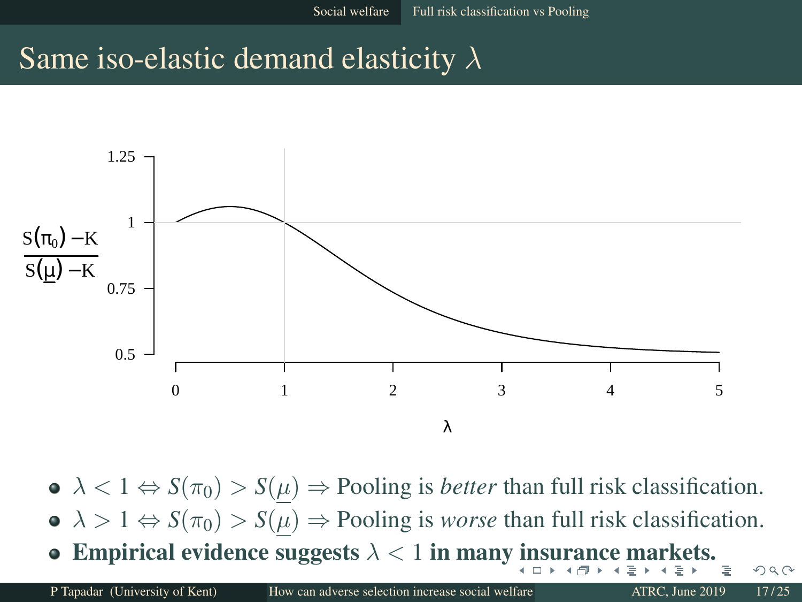## Same iso-elastic demand elasticity  $\lambda$



 $\bullet \ \lambda < 1 \Leftrightarrow S(\pi_0) > S(\mu) \Rightarrow$  Pooling is *better* than full risk classification.  $\Delta > 1 \Leftrightarrow S(\pi_0) > S(\mu) \Rightarrow$  Pooling is *worse* than full risk classification. • Empirical evidence suggests  $\lambda < 1$  in many insurance markets.

 $QQ$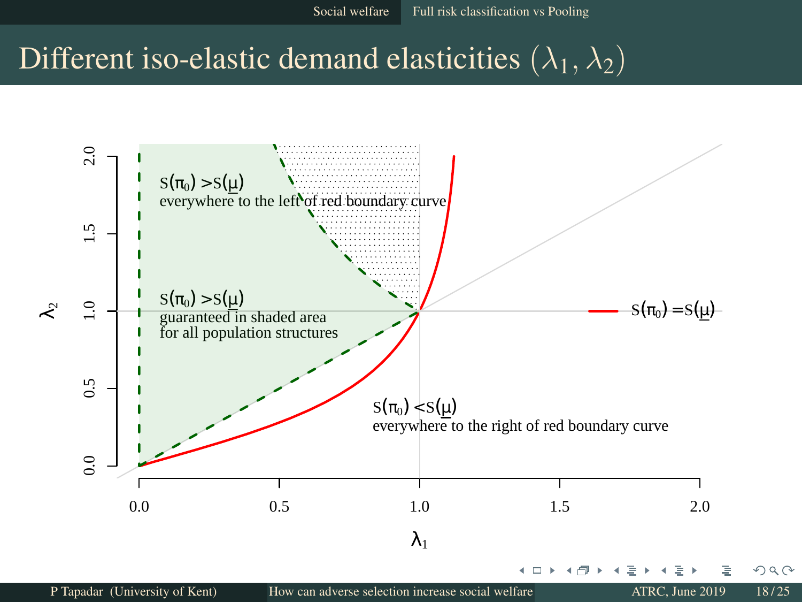Social welfare Full risk classification vs Pooling

## Different iso-elastic demand elasticities  $(\lambda_1, \lambda_2)$



P Tapadar (University of Kent) How can adverse selection increase social welfare ATRC, June 2019 18/25

 $QQ$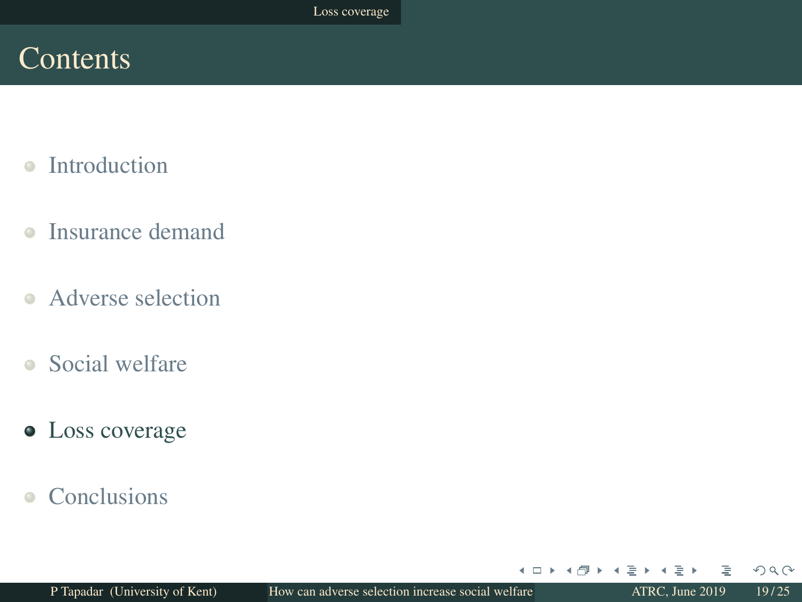## Contents

- Introduction  $\triangle$
- Insurance demand  $\bullet$
- Adverse selection
- Social welfare
- Loss coverage
- **Conclusions**  $\bullet$

4 □ ▶

 $\blacktriangleleft$ ∍  $OQ$ 

∍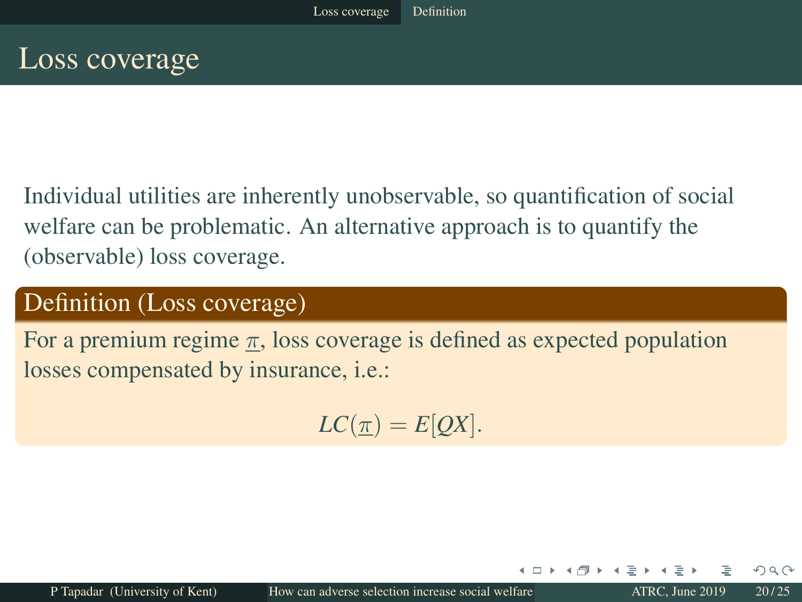## Loss coverage

Individual utilities are inherently unobservable, so quantification of social welfare can be problematic. An alternative approach is to quantify the (observable) loss coverage.

#### Definition (Loss coverage)

For a premium regime  $\pi$ , loss coverage is defined as expected population losses compensated by insurance, i.e.:

 $LC(\pi) = E[OX].$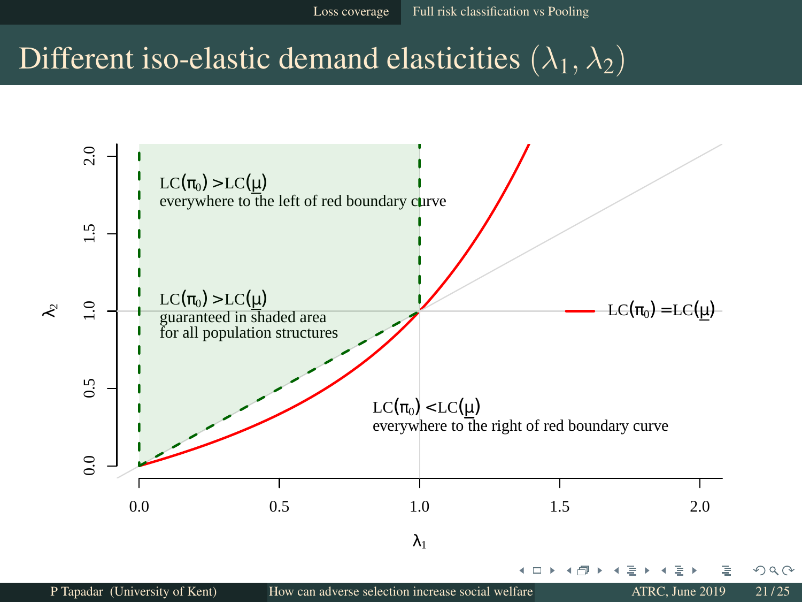## Different iso-elastic demand elasticities  $(\lambda_1, \lambda_2)$

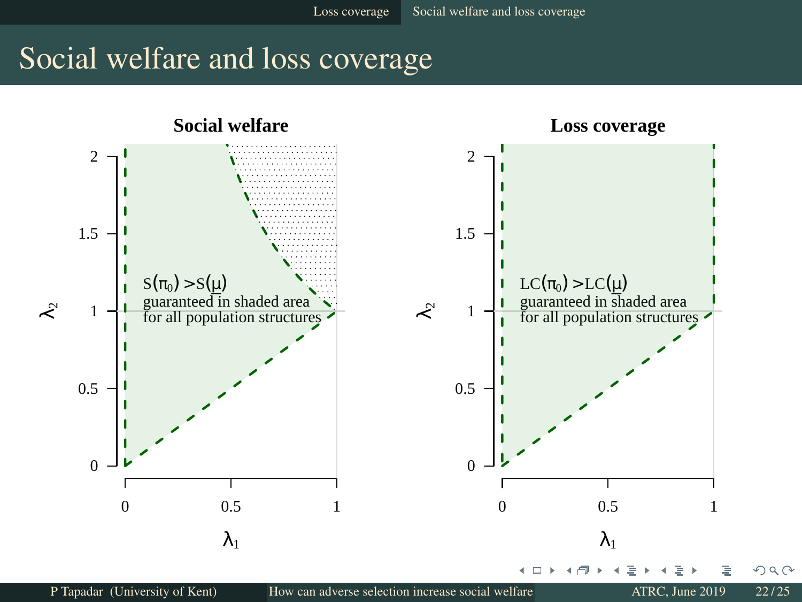## Social welfare and loss coverage

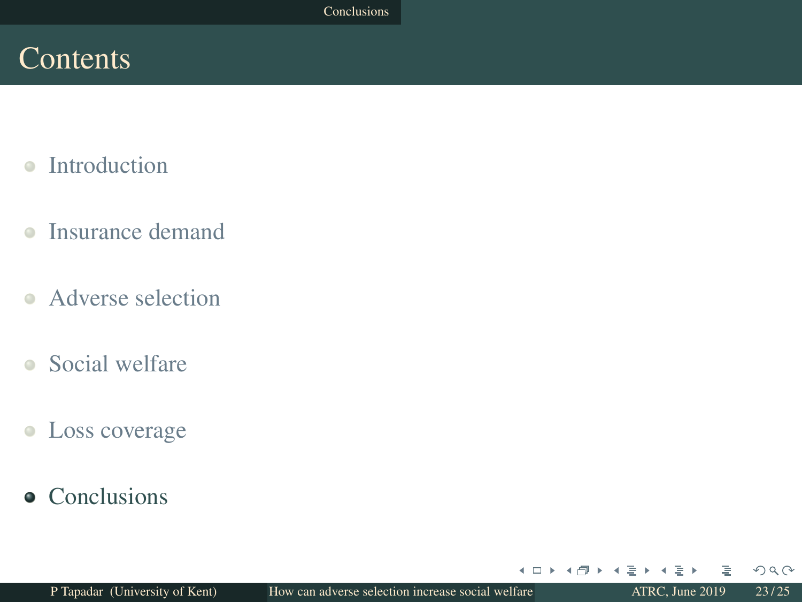## Contents

- Introduction  $\triangle$
- Insurance demand  $\bullet$
- Adverse selection
- Social welfare
- Loss coverage  $\bullet$
- Conclusions

4 □ ▶

 $\blacktriangleleft$ ∍  $OQ$ 

∍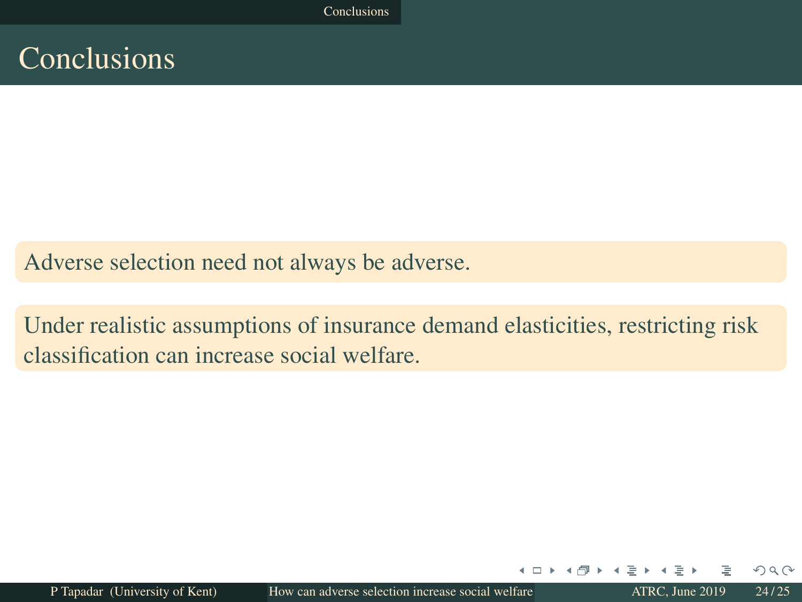Conclusions

## Conclusions

Adverse selection need not always be adverse.

Under realistic assumptions of insurance demand elasticities, restricting risk classification can increase social welfare.